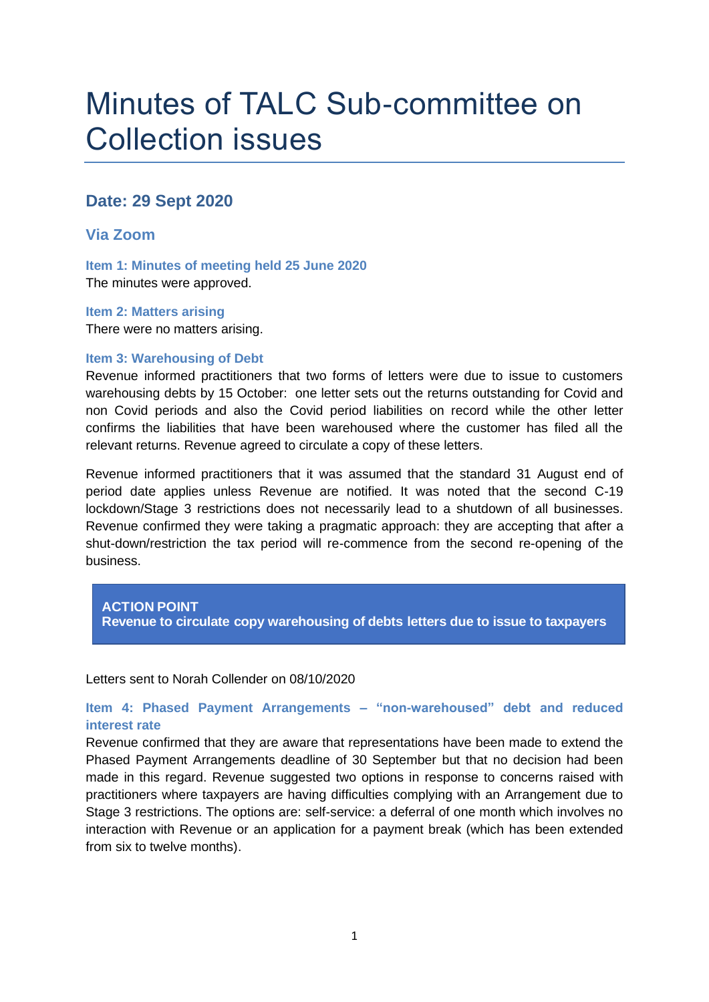# Minutes of TALC Sub-committee on Collection issues

## **Date: 29 Sept 2020**

## **Via Zoom**

**Item 1: Minutes of meeting held 25 June 2020** The minutes were approved.

**Item 2: Matters arising** There were no matters arising.

#### **Item 3: Warehousing of Debt**

Revenue informed practitioners that two forms of letters were due to issue to customers warehousing debts by 15 October: one letter sets out the returns outstanding for Covid and non Covid periods and also the Covid period liabilities on record while the other letter confirms the liabilities that have been warehoused where the customer has filed all the relevant returns. Revenue agreed to circulate a copy of these letters.

Revenue informed practitioners that it was assumed that the standard 31 August end of period date applies unless Revenue are notified. It was noted that the second C-19 lockdown/Stage 3 restrictions does not necessarily lead to a shutdown of all businesses. Revenue confirmed they were taking a pragmatic approach: they are accepting that after a shut-down/restriction the tax period will re-commence from the second re-opening of the business.

## **ACTION POINT Revenue to circulate copy warehousing of debts letters due to issue to taxpayers**

#### Letters sent to Norah Collender on 08/10/2020

## **Item 4: Phased Payment Arrangements – "non-warehoused" debt and reduced interest rate**

Revenue confirmed that they are aware that representations have been made to extend the Phased Payment Arrangements deadline of 30 September but that no decision had been made in this regard. Revenue suggested two options in response to concerns raised with practitioners where taxpayers are having difficulties complying with an Arrangement due to Stage 3 restrictions. The options are: self-service: a deferral of one month which involves no interaction with Revenue or an application for a payment break (which has been extended from six to twelve months).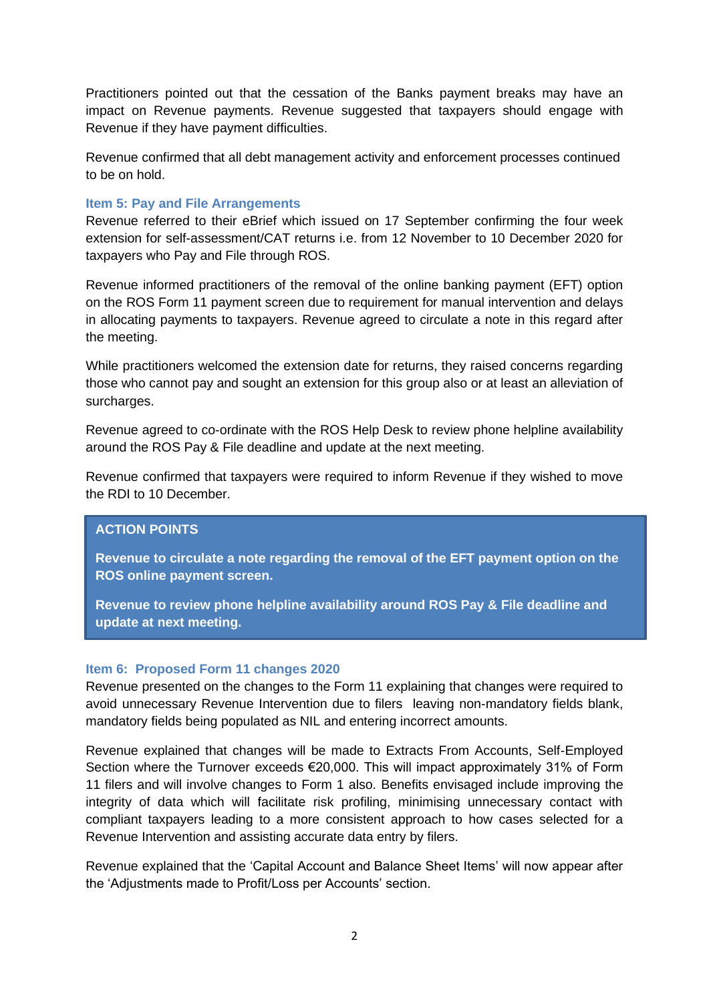Practitioners pointed out that the cessation of the Banks payment breaks may have an impact on Revenue payments. Revenue suggested that taxpayers should engage with Revenue if they have payment difficulties.

Revenue confirmed that all debt management activity and enforcement processes continued to be on hold.

#### **Item 5: Pay and File Arrangements**

Revenue referred to their eBrief which issued on 17 September confirming the four week extension for self-assessment/CAT returns i.e. from 12 November to 10 December 2020 for taxpayers who Pay and File through ROS.

Revenue informed practitioners of the removal of the online banking payment (EFT) option on the ROS Form 11 payment screen due to requirement for manual intervention and delays in allocating payments to taxpayers. Revenue agreed to circulate a note in this regard after the meeting.

While practitioners welcomed the extension date for returns, they raised concerns regarding those who cannot pay and sought an extension for this group also or at least an alleviation of surcharges.

Revenue agreed to co-ordinate with the ROS Help Desk to review phone helpline availability around the ROS Pay & File deadline and update at the next meeting.

Revenue confirmed that taxpayers were required to inform Revenue if they wished to move the RDI to 10 December.

## **ACTION POINTS**

**Revenue to circulate a note regarding the removal of the EFT payment option on the ROS online payment screen.**

**Revenue to review phone helpline availability around ROS Pay & File deadline and update at next meeting.** 

#### **Item 6: Proposed Form 11 changes 2020**

Revenue presented on the changes to the Form 11 explaining that changes were required to avoid unnecessary Revenue Intervention due to filers leaving non-mandatory fields blank, mandatory fields being populated as NIL and entering incorrect amounts.

Revenue explained that changes will be made to Extracts From Accounts, Self-Employed Section where the Turnover exceeds €20,000. This will impact approximately 31% of Form 11 filers and will involve changes to Form 1 also. Benefits envisaged include improving the integrity of data which will facilitate risk profiling, minimising unnecessary contact with compliant taxpayers leading to a more consistent approach to how cases selected for a Revenue Intervention and assisting accurate data entry by filers.

Revenue explained that the 'Capital Account and Balance Sheet Items' will now appear after the 'Adjustments made to Profit/Loss per Accounts' section.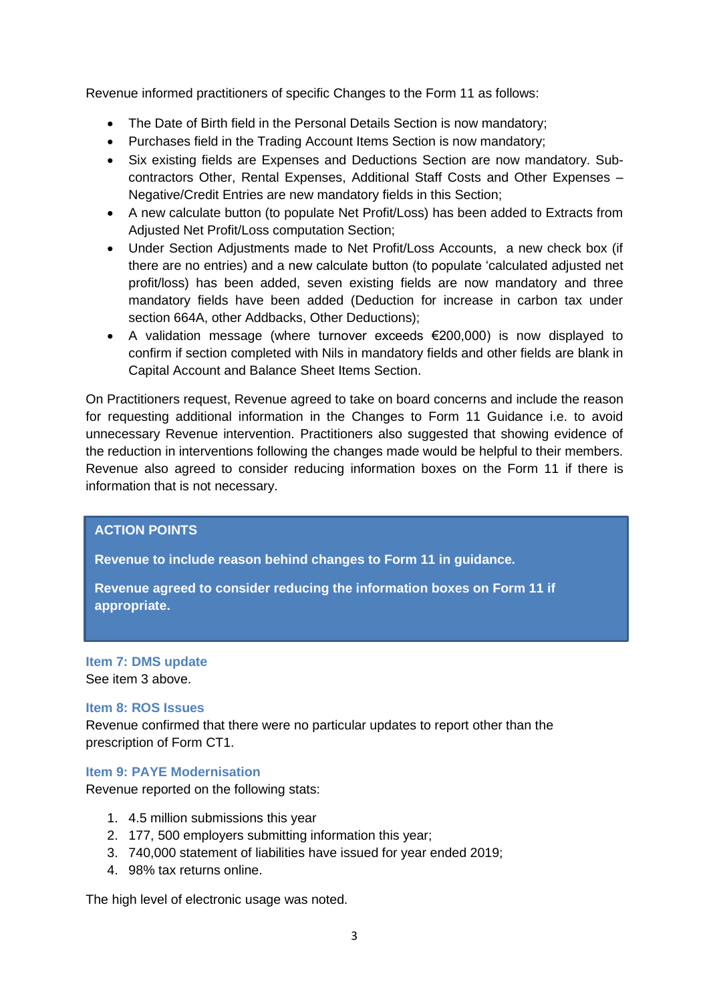Revenue informed practitioners of specific Changes to the Form 11 as follows:

- The Date of Birth field in the Personal Details Section is now mandatory;
- Purchases field in the Trading Account Items Section is now mandatory;
- Six existing fields are Expenses and Deductions Section are now mandatory. Subcontractors Other, Rental Expenses, Additional Staff Costs and Other Expenses – Negative/Credit Entries are new mandatory fields in this Section;
- A new calculate button (to populate Net Profit/Loss) has been added to Extracts from Adjusted Net Profit/Loss computation Section;
- Under Section Adjustments made to Net Profit/Loss Accounts, a new check box (if there are no entries) and a new calculate button (to populate 'calculated adjusted net profit/loss) has been added, seven existing fields are now mandatory and three mandatory fields have been added (Deduction for increase in carbon tax under section 664A, other Addbacks, Other Deductions);
- A validation message (where turnover exceeds €200,000) is now displayed to confirm if section completed with Nils in mandatory fields and other fields are blank in Capital Account and Balance Sheet Items Section.

On Practitioners request, Revenue agreed to take on board concerns and include the reason for requesting additional information in the Changes to Form 11 Guidance i.e. to avoid unnecessary Revenue intervention. Practitioners also suggested that showing evidence of the reduction in interventions following the changes made would be helpful to their members. Revenue also agreed to consider reducing information boxes on the Form 11 if there is information that is not necessary.

## **ACTION POINTS**

**Revenue to include reason behind changes to Form 11 in guidance.** 

**Revenue agreed to consider reducing the information boxes on Form 11 if appropriate.** 

**Item 7: DMS update** See item 3 above.

#### **Item 8: ROS Issues**

Revenue confirmed that there were no particular updates to report other than the prescription of Form CT1.

#### **Item 9: PAYE Modernisation**

Revenue reported on the following stats:

- 1. 4.5 million submissions this year
- 2. 177, 500 employers submitting information this year;
- 3. 740,000 statement of liabilities have issued for year ended 2019;
- 4. 98% tax returns online.

The high level of electronic usage was noted.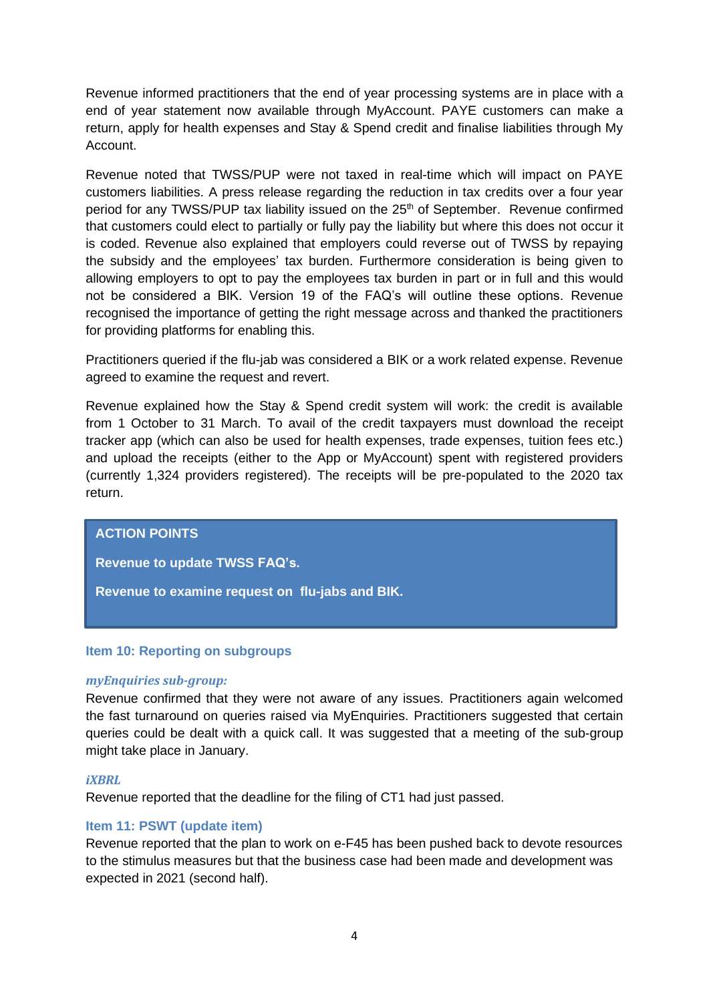Revenue informed practitioners that the end of year processing systems are in place with a end of year statement now available through MyAccount. PAYE customers can make a return, apply for health expenses and Stay & Spend credit and finalise liabilities through My Account.

Revenue noted that TWSS/PUP were not taxed in real-time which will impact on PAYE customers liabilities. A press release regarding the reduction in tax credits over a four year period for any TWSS/PUP tax liability issued on the 25<sup>th</sup> of September. Revenue confirmed that customers could elect to partially or fully pay the liability but where this does not occur it is coded. Revenue also explained that employers could reverse out of TWSS by repaying the subsidy and the employees' tax burden. Furthermore consideration is being given to allowing employers to opt to pay the employees tax burden in part or in full and this would not be considered a BIK. Version 19 of the FAQ's will outline these options. Revenue recognised the importance of getting the right message across and thanked the practitioners for providing platforms for enabling this.

Practitioners queried if the flu-jab was considered a BIK or a work related expense. Revenue agreed to examine the request and revert.

Revenue explained how the Stay & Spend credit system will work: the credit is available from 1 October to 31 March. To avail of the credit taxpayers must download the receipt tracker app (which can also be used for health expenses, trade expenses, tuition fees etc.) and upload the receipts (either to the App or MyAccount) spent with registered providers (currently 1,324 providers registered). The receipts will be pre-populated to the 2020 tax return.

## **ACTION POINTS**

**Revenue to update TWSS FAQ's.**

**Revenue to examine request on flu-jabs and BIK.**

#### **Item 10: Reporting on subgroups**

#### *myEnquiries sub-group:*

Revenue confirmed that they were not aware of any issues. Practitioners again welcomed the fast turnaround on queries raised via MyEnquiries. Practitioners suggested that certain queries could be dealt with a quick call. It was suggested that a meeting of the sub-group might take place in January.

#### *iXBRL*

Revenue reported that the deadline for the filing of CT1 had just passed.

#### **Item 11: PSWT (update item)**

Revenue reported that the plan to work on e-F45 has been pushed back to devote resources to the stimulus measures but that the business case had been made and development was expected in 2021 (second half).